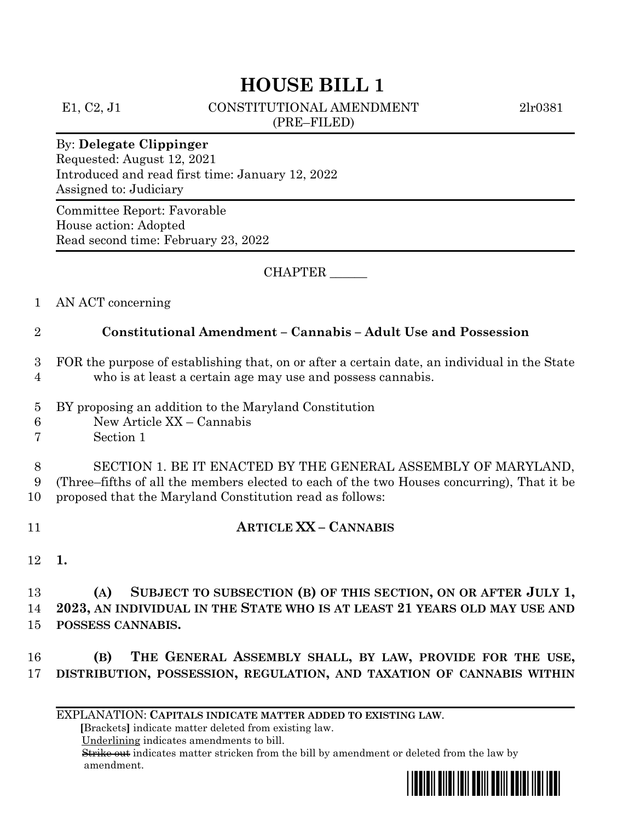# **HOUSE BILL 1**

E1, C2, J1 CONSTITUTIONAL AMENDMENT 2lr0381 (PRE–FILED)

#### By: **Delegate Clippinger**

Requested: August 12, 2021 Introduced and read first time: January 12, 2022 Assigned to: Judiciary

Committee Report: Favorable House action: Adopted Read second time: February 23, 2022

CHAPTER \_\_\_\_\_\_

1 AN ACT concerning

### 2 **Constitutional Amendment – Cannabis – Adult Use and Possession**

- 3 FOR the purpose of establishing that, on or after a certain date, an individual in the State 4 who is at least a certain age may use and possess cannabis.
- 5 BY proposing an addition to the Maryland Constitution
- 6 New Article XX Cannabis
- 7 Section 1

8 SECTION 1. BE IT ENACTED BY THE GENERAL ASSEMBLY OF MARYLAND, 9 (Three–fifths of all the members elected to each of the two Houses concurring), That it be 10 proposed that the Maryland Constitution read as follows:

- 11 **ARTICLE XX – CANNABIS**
- 12 **1.**

13 **(A) SUBJECT TO SUBSECTION (B) OF THIS SECTION, ON OR AFTER JULY 1,** 14 **2023, AN INDIVIDUAL IN THE STATE WHO IS AT LEAST 21 YEARS OLD MAY USE AND**  15 **POSSESS CANNABIS.**

16 **(B) THE GENERAL ASSEMBLY SHALL, BY LAW, PROVIDE FOR THE USE,** 17 **DISTRIBUTION, POSSESSION, REGULATION, AND TAXATION OF CANNABIS WITHIN** 

EXPLANATION: **CAPITALS INDICATE MATTER ADDED TO EXISTING LAW**.

 **[**Brackets**]** indicate matter deleted from existing law.

Underlining indicates amendments to bill.

 Strike out indicates matter stricken from the bill by amendment or deleted from the law by amendment.